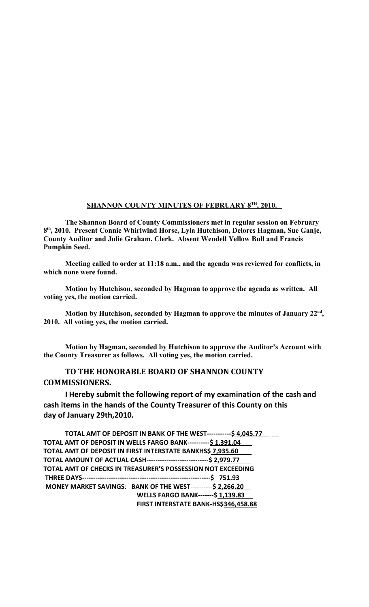## **SHANNON COUNTY MINUTES OF FEBRUARY 8TH , 2010.**

**The Shannon Board of County Commissioners met in regular session on February 8 th, 2010. Present Connie Whirlwind Horse, Lyla Hutchison, Delores Hagman, Sue Ganje, County Auditor and Julie Graham, Clerk. Absent Wendell Yellow Bull and Francis Pumpkin Seed.**

**Meeting called to order at 11:18 a.m., and the agenda was reviewed for conflicts, in which none were found.**

**Motion by Hutchison, seconded by Hagman to approve the agenda as written. All voting yes, the motion carried.**

**Motion by Hutchison, seconded by Hagman to approve the minutes of January 22nd , 2010. All voting yes, the motion carried.**

**Motion by Hagman, seconded by Hutchison to approve the Auditor's Account with the County Treasurer as follows. All voting yes, the motion carried.**

## **TO THE HONORABLE BOARD OF SHANNON COUNTY COMMISSIONERS.**

**I Hereby submit the following report of my examination of the cash and cash items in the hands of the County Treasurer of this County on this day of January 29th,2010.**

| TOTAL AMT OF DEPOSIT IN BANK OF THE WEST-----------\$ 4,045.77       |
|----------------------------------------------------------------------|
| TOTAL AMT OF DEPOSIT IN WELLS FARGO BANK---------- \$1,391.04        |
| TOTAL AMT OF DEPOSIT IN FIRST INTERSTATE BANKHS\$ 7,935.60           |
| TOTAL AMOUNT OF ACTUAL CASH------------------------------\$ 2,979.77 |
| TOTAL AMT OF CHECKS IN TREASURER'S POSSESSION NOT EXCEEDING          |
|                                                                      |
| MONEY MARKET SAVINGS: BANK OF THE WEST----------\$ 2,266.20          |
| <b>WELLS FARGO BANK-------\$1,139.83</b>                             |
| FIRST INTERSTATE BANK-HS\$346,458.88                                 |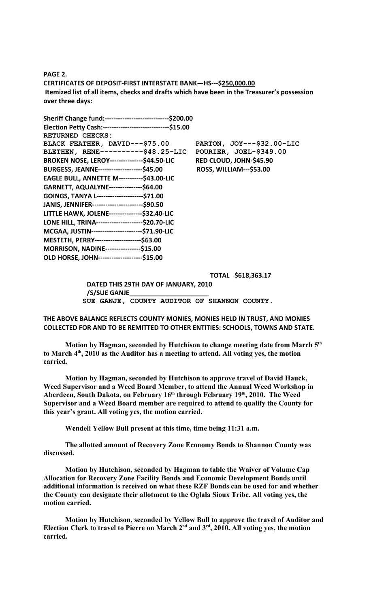**PAGE 2. CERTIFICATES OF DEPOSIT-FIRST INTERSTATE BANK—HS---\$250,000.00 Itemized list of all items, checks and drafts which have been in the Treasurer's possession over three days:**

| Sheriff Change fund:-------------------------------\$200.00 |                                |
|-------------------------------------------------------------|--------------------------------|
| Election Petty Cash:-------------------------------\$15.00  |                                |
| <b>RETURNED CHECKS:</b>                                     |                                |
| BLACK FEATHER, DAVID---\$75.00                              | PARTON, JOY---\$32.00-LIC      |
| BLETHEN, RENE----------\$48.25-LIC                          | POURIER, JOEL-\$349.00         |
| <b>BROKEN NOSE, LEROY----------------\$44.50-LIC</b>        | RED CLOUD, JOHN-\$45.90        |
| <b>BURGESS, JEANNE----------------------\$45.00</b>         | <b>ROSS, WILLIAM---\$53.00</b> |
| <b>EAGLE BULL, ANNETTE M-----------\$43.00-LIC</b>          |                                |
| GARNETT, AQUALYNE---------------\$64.00                     |                                |
| GOINGS, TANYA L----------------------\$71.00                |                                |
| JANIS, JENNIFER-------------------------\$90.50             |                                |
| LITTLE HAWK, JOLENE---------------\$32.40-LIC               |                                |
| LONE HILL, TRINA----------------------\$20.70-LIC           |                                |
| MCGAA, JUSTIN------------------------\$71.90-LIC            |                                |
| MESTETH, PERRY----------------------\$63.00                 |                                |
| MORRISON, NADINE-----------------\$15.00                    |                                |
| OLD HORSE, JOHN--------------------\$15.00                  |                                |

**TOTAL \$618,363.17** 

**DATED THIS 29TH DAY OF JANUARY, 2010 /S/SUE GANJE\_\_\_\_\_\_\_\_\_\_\_\_\_\_\_\_\_\_\_\_\_\_ SUE GANJE, COUNTY AUDITOR OF SHANNON COUNTY.**

**THE ABOVE BALANCE REFLECTS COUNTY MONIES, MONIES HELD IN TRUST, AND MONIES COLLECTED FOR AND TO BE REMITTED TO OTHER ENTITIES: SCHOOLS, TOWNS AND STATE.**

**Motion by Hagman, seconded by Hutchison to change meeting date from March 5th to March 4th, 2010 as the Auditor has a meeting to attend. All voting yes, the motion carried.**

**Motion by Hagman, seconded by Hutchison to approve travel of David Hauck, Weed Supervisor and a Weed Board Member, to attend the Annual Weed Workshop in Aberdeen, South Dakota, on February 16th through February 19th, 2010. The Weed Supervisor and a Weed Board member are required to attend to qualify the County for this year's grant. All voting yes, the motion carried.**

**Wendell Yellow Bull present at this time, time being 11:31 a.m.**

**The allotted amount of Recovery Zone Economy Bonds to Shannon County was discussed.**

**Motion by Hutchison, seconded by Hagman to table the Waiver of Volume Cap Allocation for Recovery Zone Facility Bonds and Economic Development Bonds until additional information is received on what these RZF Bonds can be used for and whether the County can designate their allotment to the Oglala Sioux Tribe. All voting yes, the motion carried.**

**Motion by Hutchison, seconded by Yellow Bull to approve the travel of Auditor and Election Clerk to travel to Pierre on March 2nd and 3rd, 2010. All voting yes, the motion carried.**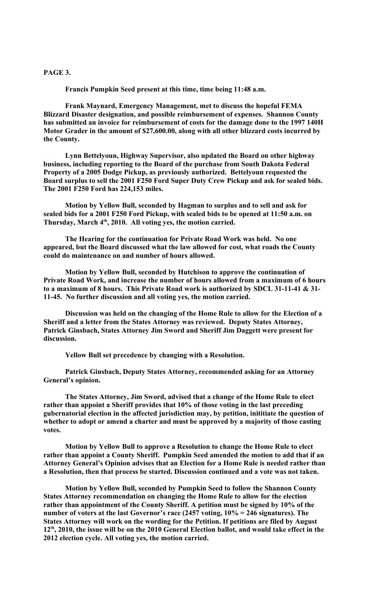## **PAGE 3.**

**Francis Pumpkin Seed present at this time, time being 11:48 a.m.**

**Frank Maynard, Emergency Management, met to discuss the hopeful FEMA Blizzard Disaster designation, and possible reimbursement of expenses. Shannon County has submitted an invoice for reimbursement of costs for the damage done to the 1997 140H Motor Grader in the amount of \$27,600.00, along with all other blizzard costs incurred by the County.** 

**Lynn Bettelyoun, Highway Supervisor, also updated the Board on other highway business, including reporting to the Board of the purchase from South Dakota Federal Property of a 2005 Dodge Pickup, as previously authorized. Bettelyoun requested the Board surplus to sell the 2001 F250 Ford Super Duty Crew Pickup and ask for sealed bids. The 2001 F250 Ford has 224,153 miles.**

**Motion by Yellow Bull, seconded by Hagman to surplus and to sell and ask for sealed bids for a 2001 F250 Ford Pickup, with sealed bids to be opened at 11:50 a.m. on Thursday, March 4th, 2010. All voting yes, the motion carried.**

**The Hearing for the continuation for Private Road Work was held. No one appeared, but the Board discussed what the law allowed for cost, what roads the County could do maintenance on and number of hours allowed.**

**Motion by Yellow Bull, seconded by Hutchison to approve the continuation of Private Road Work, and increase the number of hours allowed from a maximum of 6 hours to a maximum of 8 hours. This Private Road work is authorized by SDCL 31-11-41 & 31- 11-45. No further discussion and all voting yes, the motion carried.**

**Discussion was held on the changing of the Home Rule to allow for the Election of a Sheriff and a letter from the States Attorney was reviewed. Deputy States Attorney, Patrick Ginsbach, States Attorney Jim Sword and Sheriff Jim Daggett were present for discussion.**

**Yellow Bull set precedence by changing with a Resolution.**

**Patrick Ginsbach, Deputy States Attorney, recommended asking for an Attorney General's opinion.**

**The States Attorney, Jim Sword, advised that a change of the Home Rule to elect rather than appoint a Sheriff provides that 10% of those voting in the last preceding gubernatorial election in the affected jurisdiction may, by petition, inititiate the question of whether to adopt or amend a charter and must be approved by a majority of those casting votes.**

**Motion by Yellow Bull to approve a Resolution to change the Home Rule to elect rather than appoint a County Sheriff. Pumpkin Seed amended the motion to add that if an Attorney General's Opinion advises that an Election for a Home Rule is needed rather than a Resolution, then that process be started. Discussion continued and a vote was not taken.**

**Motion by Yellow Bull, seconded by Pumpkin Seed to follow the Shannon County States Attorney recommendation on changing the Home Rule to allow for the election rather than appointment of the County Sheriff. A petition must be signed by 10% of the number of voters at the last Governor's race (2457 voting, 10% = 246 signatures). The States Attorney will work on the wording for the Petition. If petitions are filed by August 12th, 2010, the issue will be on the 2010 General Election ballot, and would take effect in the 2012 election cycle. All voting yes, the motion carried.**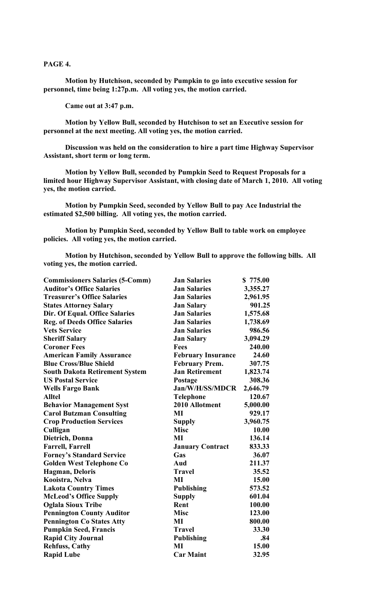**PAGE 4.**

**Motion by Hutchison, seconded by Pumpkin to go into executive session for personnel, time being 1:27p.m. All voting yes, the motion carried.**

**Came out at 3:47 p.m.**

**Motion by Yellow Bull, seconded by Hutchison to set an Executive session for personnel at the next meeting. All voting yes, the motion carried.** 

**Discussion was held on the consideration to hire a part time Highway Supervisor Assistant, short term or long term.**

**Motion by Yellow Bull, seconded by Pumpkin Seed to Request Proposals for a limited hour Highway Supervisor Assistant, with closing date of March 1, 2010. All voting yes, the motion carried.**

**Motion by Pumpkin Seed, seconded by Yellow Bull to pay Ace Industrial the estimated \$2,500 billing. All voting yes, the motion carried.**

**Motion by Pumpkin Seed, seconded by Yellow Bull to table work on employee policies. All voting yes, the motion carried.**

**Motion by Hutchison, seconded by Yellow Bull to approve the following bills. All voting yes, the motion carried.**

| <b>Commissioners Salaries (5-Comm)</b> | <b>Jan Salaries</b>       | \$775.00 |
|----------------------------------------|---------------------------|----------|
| <b>Auditor's Office Salaries</b>       | <b>Jan Salaries</b>       | 3,355.27 |
| <b>Treasurer's Office Salaries</b>     | <b>Jan Salaries</b>       | 2,961.95 |
| <b>States Attorney Salary</b>          | <b>Jan Salary</b>         | 901.25   |
| Dir. Of Equal. Office Salaries         | <b>Jan Salaries</b>       | 1,575.68 |
| <b>Reg. of Deeds Office Salaries</b>   | <b>Jan Salaries</b>       | 1,738.69 |
| <b>Vets Service</b>                    | <b>Jan Salaries</b>       | 986.56   |
| <b>Sheriff Salary</b>                  | <b>Jan Salary</b>         | 3,094.29 |
| <b>Coroner Fees</b>                    | <b>Fees</b>               | 240.00   |
| <b>American Family Assurance</b>       | <b>February Insurance</b> | 24.60    |
| <b>Blue Cross/Blue Shield</b>          | <b>February Prem.</b>     | 307.75   |
| <b>South Dakota Retirement System</b>  | <b>Jan Retirement</b>     | 1,823.74 |
| <b>US Postal Service</b>               | Postage                   | 308.36   |
| <b>Wells Fargo Bank</b>                | Jan/W/H/SS/MDCR           | 2,646.79 |
| <b>Alltel</b>                          | <b>Telephone</b>          | 120.67   |
| <b>Behavior Management Syst</b>        | 2010 Allotment            | 5,000.00 |
| <b>Carol Butzman Consulting</b>        | MI                        | 929.17   |
| <b>Crop Production Services</b>        | <b>Supply</b>             | 3,960.75 |
| Culligan                               | <b>Misc</b>               | 10.00    |
| Dietrich, Donna                        | MI                        | 136.14   |
| <b>Farrell, Farrell</b>                | <b>January Contract</b>   | 833.33   |
| <b>Forney's Standard Service</b>       | Gas                       | 36.07    |
| <b>Golden West Telephone Co</b>        | Aud                       | 211.37   |
| <b>Hagman, Deloris</b>                 | <b>Travel</b>             | 35.52    |
| Kooistra, Nelva                        | MI                        | 15.00    |
| <b>Lakota Country Times</b>            | <b>Publishing</b>         | 573.52   |
| <b>McLeod's Office Supply</b>          | <b>Supply</b>             | 601.04   |
| <b>Oglala Sioux Tribe</b>              | Rent                      | 100.00   |
| <b>Pennington County Auditor</b>       | <b>Misc</b>               | 123.00   |
| <b>Pennington Co States Atty</b>       | MI                        | 800.00   |
| <b>Pumpkin Seed, Francis</b>           | <b>Travel</b>             | 33.30    |
| <b>Rapid City Journal</b>              | <b>Publishing</b>         | .84      |
| <b>Rehfuss, Cathy</b>                  | MI                        | 15.00    |
| <b>Rapid Lube</b>                      | <b>Car Maint</b>          | 32.95    |
|                                        |                           |          |